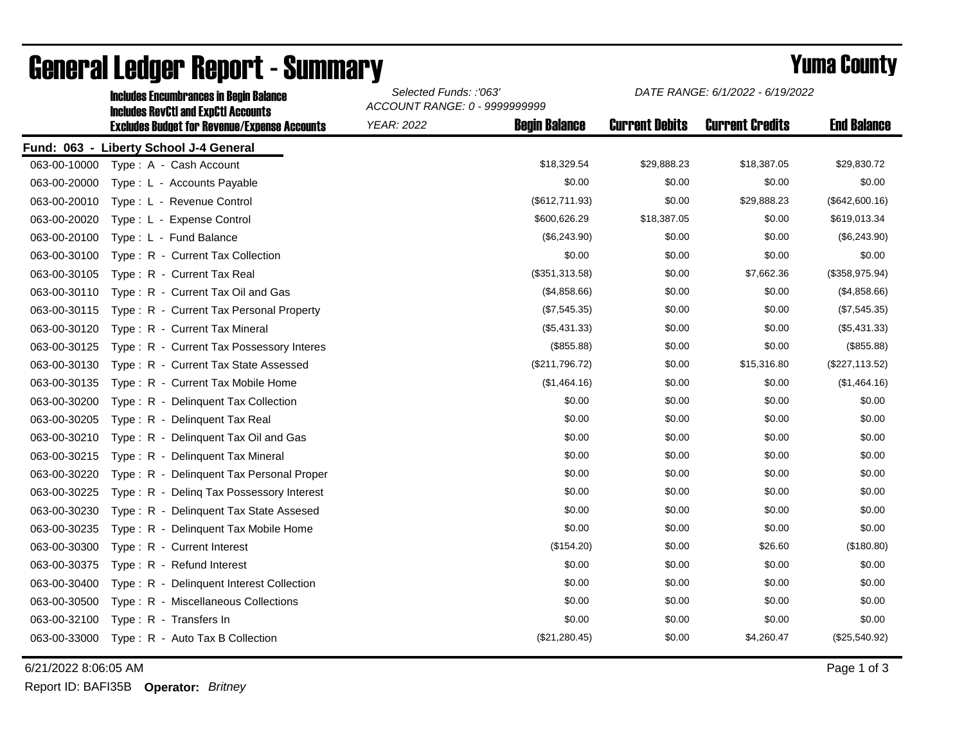|              | <b>Includes Encumbrances in Begin Balance</b><br><b>Includes RevCtI and ExpCtI Accounts</b><br><b>Excludes Budget for Revenue/Expense Accounts</b> | Selected Funds: :'063'<br>ACCOUNT RANGE: 0 - 9999999999 |                      | DATE RANGE: 6/1/2022 - 6/19/2022 |                        |                    |
|--------------|----------------------------------------------------------------------------------------------------------------------------------------------------|---------------------------------------------------------|----------------------|----------------------------------|------------------------|--------------------|
|              |                                                                                                                                                    | <b>YEAR: 2022</b>                                       | <b>Begin Balance</b> | <b>Current Debits</b>            | <b>Current Credits</b> | <b>End Balance</b> |
|              | Fund: 063 - Liberty School J-4 General                                                                                                             |                                                         |                      |                                  |                        |                    |
| 063-00-10000 | Type: A - Cash Account                                                                                                                             |                                                         | \$18,329.54          | \$29,888.23                      | \$18,387.05            | \$29,830.72        |
| 063-00-20000 | Type: L - Accounts Payable                                                                                                                         |                                                         | \$0.00               | \$0.00                           | \$0.00                 | \$0.00             |
| 063-00-20010 | Type: L - Revenue Control                                                                                                                          |                                                         | (\$612,711.93)       | \$0.00                           | \$29,888.23            | (\$642,600.16)     |
| 063-00-20020 | Type: L - Expense Control                                                                                                                          |                                                         | \$600,626.29         | \$18,387.05                      | \$0.00                 | \$619,013.34       |
| 063-00-20100 | Type: L - Fund Balance                                                                                                                             |                                                         | (\$6,243.90)         | \$0.00                           | \$0.00                 | (\$6,243.90)       |
| 063-00-30100 | Type: R - Current Tax Collection                                                                                                                   |                                                         | \$0.00               | \$0.00                           | \$0.00                 | \$0.00             |
| 063-00-30105 | Type: R - Current Tax Real                                                                                                                         |                                                         | (\$351,313.58)       | \$0.00                           | \$7,662.36             | (\$358,975.94)     |
| 063-00-30110 | Type: R - Current Tax Oil and Gas                                                                                                                  |                                                         | (\$4,858.66)         | \$0.00                           | \$0.00                 | (\$4,858.66)       |
| 063-00-30115 | Type: R - Current Tax Personal Property                                                                                                            |                                                         | (\$7,545.35)         | \$0.00                           | \$0.00                 | (\$7,545.35)       |
| 063-00-30120 | Type: R - Current Tax Mineral                                                                                                                      |                                                         | (\$5,431.33)         | \$0.00                           | \$0.00                 | (\$5,431.33)       |
| 063-00-30125 | Type: R - Current Tax Possessory Interes                                                                                                           |                                                         | (\$855.88)           | \$0.00                           | \$0.00                 | (\$855.88)         |
| 063-00-30130 | Type: R - Current Tax State Assessed                                                                                                               |                                                         | (\$211,796.72)       | \$0.00                           | \$15,316.80            | (\$227, 113.52)    |
| 063-00-30135 | Type: R - Current Tax Mobile Home                                                                                                                  |                                                         | (\$1,464.16)         | \$0.00                           | \$0.00                 | (\$1,464.16)       |
| 063-00-30200 | Type: R - Delinquent Tax Collection                                                                                                                |                                                         | \$0.00               | \$0.00                           | \$0.00                 | \$0.00             |
| 063-00-30205 | Type: R - Delinquent Tax Real                                                                                                                      |                                                         | \$0.00               | \$0.00                           | \$0.00                 | \$0.00             |
| 063-00-30210 | Type: R - Delinquent Tax Oil and Gas                                                                                                               |                                                         | \$0.00               | \$0.00                           | \$0.00                 | \$0.00             |
| 063-00-30215 | Type: R - Delinquent Tax Mineral                                                                                                                   |                                                         | \$0.00               | \$0.00                           | \$0.00                 | \$0.00             |
| 063-00-30220 | Type: R - Delinquent Tax Personal Proper                                                                                                           |                                                         | \$0.00               | \$0.00                           | \$0.00                 | \$0.00             |
| 063-00-30225 | Type: R - Deling Tax Possessory Interest                                                                                                           |                                                         | \$0.00               | \$0.00                           | \$0.00                 | \$0.00             |
| 063-00-30230 | Type: R - Delinquent Tax State Assesed                                                                                                             |                                                         | \$0.00               | \$0.00                           | \$0.00                 | \$0.00             |
| 063-00-30235 | Type: R - Delinguent Tax Mobile Home                                                                                                               |                                                         | \$0.00               | \$0.00                           | \$0.00                 | \$0.00             |
| 063-00-30300 | Type: R - Current Interest                                                                                                                         |                                                         | (\$154.20)           | \$0.00                           | \$26.60                | (\$180.80)         |
| 063-00-30375 | Type: R - Refund Interest                                                                                                                          |                                                         | \$0.00               | \$0.00                           | \$0.00                 | \$0.00             |
| 063-00-30400 | Type: R - Delinquent Interest Collection                                                                                                           |                                                         | \$0.00               | \$0.00                           | \$0.00                 | \$0.00             |
| 063-00-30500 | Type: R - Miscellaneous Collections                                                                                                                |                                                         | \$0.00               | \$0.00                           | \$0.00                 | \$0.00             |
| 063-00-32100 | Type: R - Transfers In                                                                                                                             |                                                         | \$0.00               | \$0.00                           | \$0.00                 | \$0.00             |
| 063-00-33000 | Type: R - Auto Tax B Collection                                                                                                                    |                                                         | (\$21,280.45)        | \$0.00                           | \$4,260.47             | (\$25,540.92)      |

## General Ledger Report - Summary **Example 2018** Yuma County

6/21/2022 8:06:05 AM Page 1 of 3

Report ID: BAFI35B **Operator:** *Britney*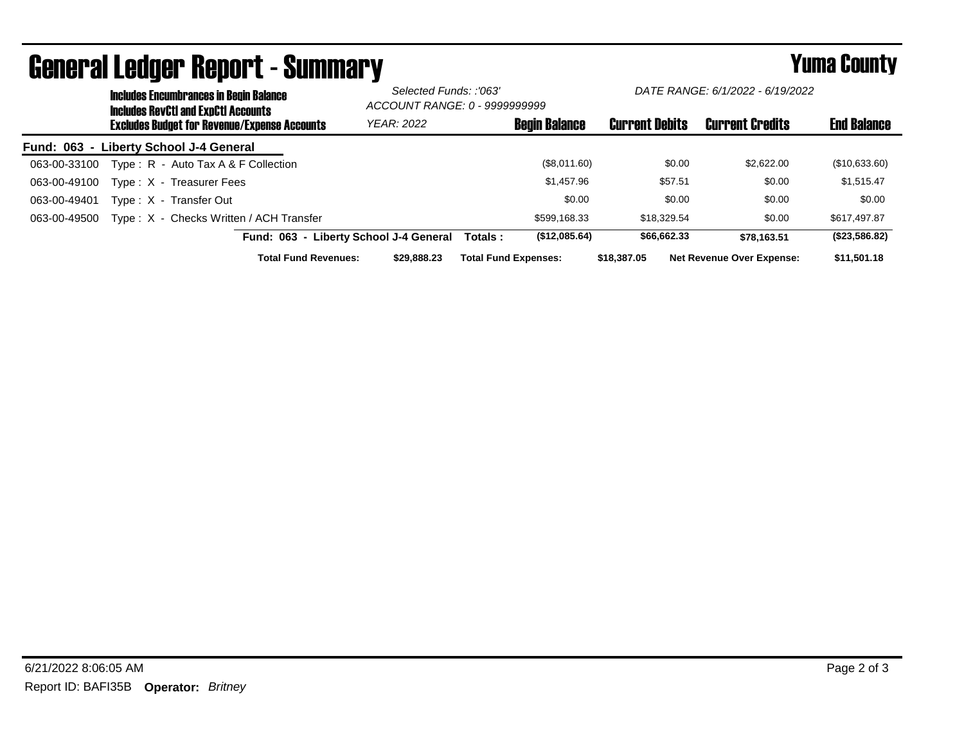|              | <b>Includes Encumbrances in Begin Balance</b><br><b>Includes RevCtI and ExpCtI Accounts</b><br><b>Excludes Budget for Revenue/Expense Accounts</b> |                                         | Selected Funds: :'063'<br>ACCOUNT RANGE: 0 - 9999999999 |                             | DATE RANGE: 6/1/2022 - 6/19/2022 |                                  |                    |  |
|--------------|----------------------------------------------------------------------------------------------------------------------------------------------------|-----------------------------------------|---------------------------------------------------------|-----------------------------|----------------------------------|----------------------------------|--------------------|--|
|              |                                                                                                                                                    |                                         | <b>YEAR: 2022</b>                                       | <b>Begin Balance</b>        | <b>Current Debits</b>            | <b>Current Credits</b>           | <b>End Balance</b> |  |
|              |                                                                                                                                                    | Fund: 063 - Liberty School J-4 General  |                                                         |                             |                                  |                                  |                    |  |
| 063-00-33100 |                                                                                                                                                    | Type: R - Auto Tax A & F Collection     |                                                         | (\$8,011.60)                | \$0.00                           | \$2,622,00                       | (\$10,633.60)      |  |
| 063-00-49100 |                                                                                                                                                    | Type: X - Treasurer Fees                |                                                         | \$1,457.96                  | \$57.51                          | \$0.00                           | \$1,515.47         |  |
| 063-00-49401 |                                                                                                                                                    | Type: X - Transfer Out                  |                                                         | \$0.00                      | \$0.00                           | \$0.00                           | \$0.00             |  |
| 063-00-49500 |                                                                                                                                                    | Type: X - Checks Written / ACH Transfer |                                                         | \$599.168.33                | \$18,329.54                      | \$0.00                           | \$617,497.87       |  |
|              |                                                                                                                                                    |                                         | Fund: 063 - Liberty School J-4 General                  | (\$12,085.64)<br>Totals :   | \$66,662.33                      | \$78.163.51                      | (\$23,586.82)      |  |
|              |                                                                                                                                                    | <b>Total Fund Revenues:</b>             | \$29,888,23                                             | <b>Total Fund Expenses:</b> | \$18,387.05                      | <b>Net Revenue Over Expense:</b> | \$11,501.18        |  |

## General Ledger Report - Summary **Example 2018** Yuma County